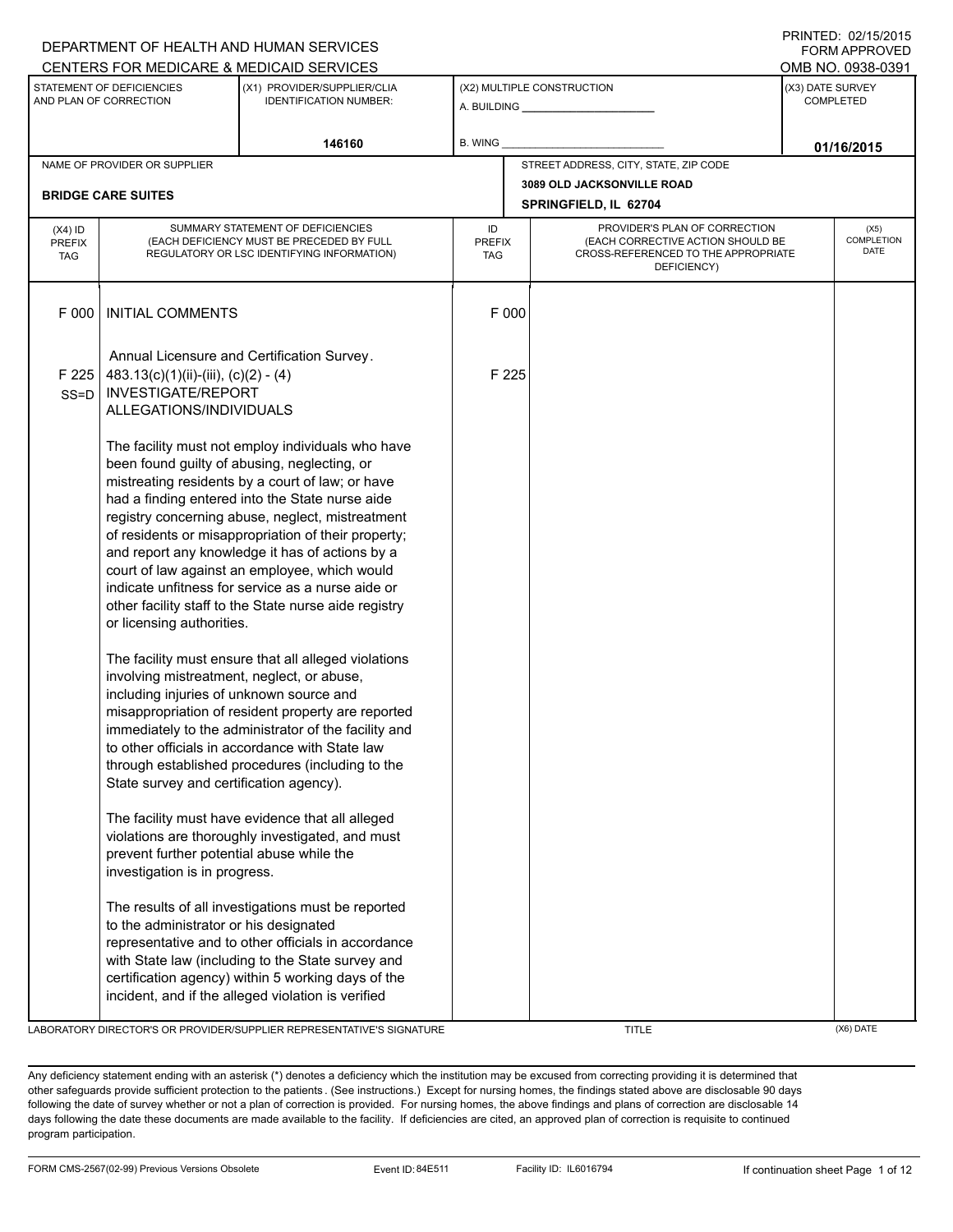|                                          |                                                                                                                                   | DEPARTMENT OF HEALTH AND HUMAN SERVICES<br>CENTERS FOR MEDICARE & MEDICAID SERVICES                                                                                                                                                                                                                                                                                                                                                                                                                                                   |                                   |                            |                                                                                                                          |  | <b>FORM APPROVED</b><br>OMB NO. 0938-0391 |
|------------------------------------------|-----------------------------------------------------------------------------------------------------------------------------------|---------------------------------------------------------------------------------------------------------------------------------------------------------------------------------------------------------------------------------------------------------------------------------------------------------------------------------------------------------------------------------------------------------------------------------------------------------------------------------------------------------------------------------------|-----------------------------------|----------------------------|--------------------------------------------------------------------------------------------------------------------------|--|-------------------------------------------|
|                                          | STATEMENT OF DEFICIENCIES<br>AND PLAN OF CORRECTION                                                                               | (X1) PROVIDER/SUPPLIER/CLIA<br><b>IDENTIFICATION NUMBER:</b>                                                                                                                                                                                                                                                                                                                                                                                                                                                                          |                                   | (X2) MULTIPLE CONSTRUCTION |                                                                                                                          |  | (X3) DATE SURVEY<br><b>COMPLETED</b>      |
|                                          |                                                                                                                                   | 146160                                                                                                                                                                                                                                                                                                                                                                                                                                                                                                                                | B. WING                           |                            |                                                                                                                          |  | 01/16/2015                                |
|                                          | NAME OF PROVIDER OR SUPPLIER                                                                                                      |                                                                                                                                                                                                                                                                                                                                                                                                                                                                                                                                       |                                   |                            | STREET ADDRESS, CITY, STATE, ZIP CODE                                                                                    |  |                                           |
|                                          | <b>BRIDGE CARE SUITES</b>                                                                                                         |                                                                                                                                                                                                                                                                                                                                                                                                                                                                                                                                       |                                   |                            | 3089 OLD JACKSONVILLE ROAD<br>SPRINGFIELD, IL 62704                                                                      |  |                                           |
| $(X4)$ ID<br><b>PREFIX</b><br><b>TAG</b> |                                                                                                                                   | SUMMARY STATEMENT OF DEFICIENCIES<br>(EACH DEFICIENCY MUST BE PRECEDED BY FULL<br>REGULATORY OR LSC IDENTIFYING INFORMATION)                                                                                                                                                                                                                                                                                                                                                                                                          | ID<br><b>PREFIX</b><br><b>TAG</b> |                            | PROVIDER'S PLAN OF CORRECTION<br>(EACH CORRECTIVE ACTION SHOULD BE<br>CROSS-REFERENCED TO THE APPROPRIATE<br>DEFICIENCY) |  | (X5)<br>COMPLETION<br>DATE                |
| F 000                                    | <b>INITIAL COMMENTS</b>                                                                                                           |                                                                                                                                                                                                                                                                                                                                                                                                                                                                                                                                       | F 000                             |                            |                                                                                                                          |  |                                           |
| F 225<br>$SS = D$                        | 483.13(c)(1)(ii)-(iii), (c)(2) - (4)<br><b>INVESTIGATE/REPORT</b><br>ALLEGATIONS/INDIVIDUALS                                      | Annual Licensure and Certification Survey.                                                                                                                                                                                                                                                                                                                                                                                                                                                                                            | F 225                             |                            |                                                                                                                          |  |                                           |
|                                          | or licensing authorities.                                                                                                         | The facility must not employ individuals who have<br>been found guilty of abusing, neglecting, or<br>mistreating residents by a court of law; or have<br>had a finding entered into the State nurse aide<br>registry concerning abuse, neglect, mistreatment<br>of residents or misappropriation of their property;<br>and report any knowledge it has of actions by a<br>court of law against an employee, which would<br>indicate unfitness for service as a nurse aide or<br>other facility staff to the State nurse aide registry |                                   |                            |                                                                                                                          |  |                                           |
|                                          | involving mistreatment, neglect, or abuse,<br>including injuries of unknown source and<br>State survey and certification agency). | The facility must ensure that all alleged violations<br>misappropriation of resident property are reported<br>immediately to the administrator of the facility and<br>to other officials in accordance with State law<br>through established procedures (including to the                                                                                                                                                                                                                                                             |                                   |                            |                                                                                                                          |  |                                           |
|                                          | prevent further potential abuse while the<br>investigation is in progress.                                                        | The facility must have evidence that all alleged<br>violations are thoroughly investigated, and must                                                                                                                                                                                                                                                                                                                                                                                                                                  |                                   |                            |                                                                                                                          |  |                                           |
|                                          | to the administrator or his designated                                                                                            | The results of all investigations must be reported<br>representative and to other officials in accordance<br>with State law (including to the State survey and<br>certification agency) within 5 working days of the<br>incident, and if the alleged violation is verified                                                                                                                                                                                                                                                            |                                   |                            |                                                                                                                          |  |                                           |

LABORATORY DIRECTOR'S OR PROVIDER/SUPPLIER REPRESENTATIVE'S SIGNATURE THE TITLE THE TITLE (X6) DATE

DEPARTMENT OF HEALTH AND HUMAN SERVICES

PRINTED: 02/15/2015

Any deficiency statement ending with an asterisk (\*) denotes a deficiency which the institution may be excused from correcting providing it is determined that other safeguards provide sufficient protection to the patients . (See instructions.) Except for nursing homes, the findings stated above are disclosable 90 days following the date of survey whether or not a plan of correction is provided. For nursing homes, the above findings and plans of correction are disclosable 14 days following the date these documents are made available to the facility. If deficiencies are cited, an approved plan of correction is requisite to continued program participation.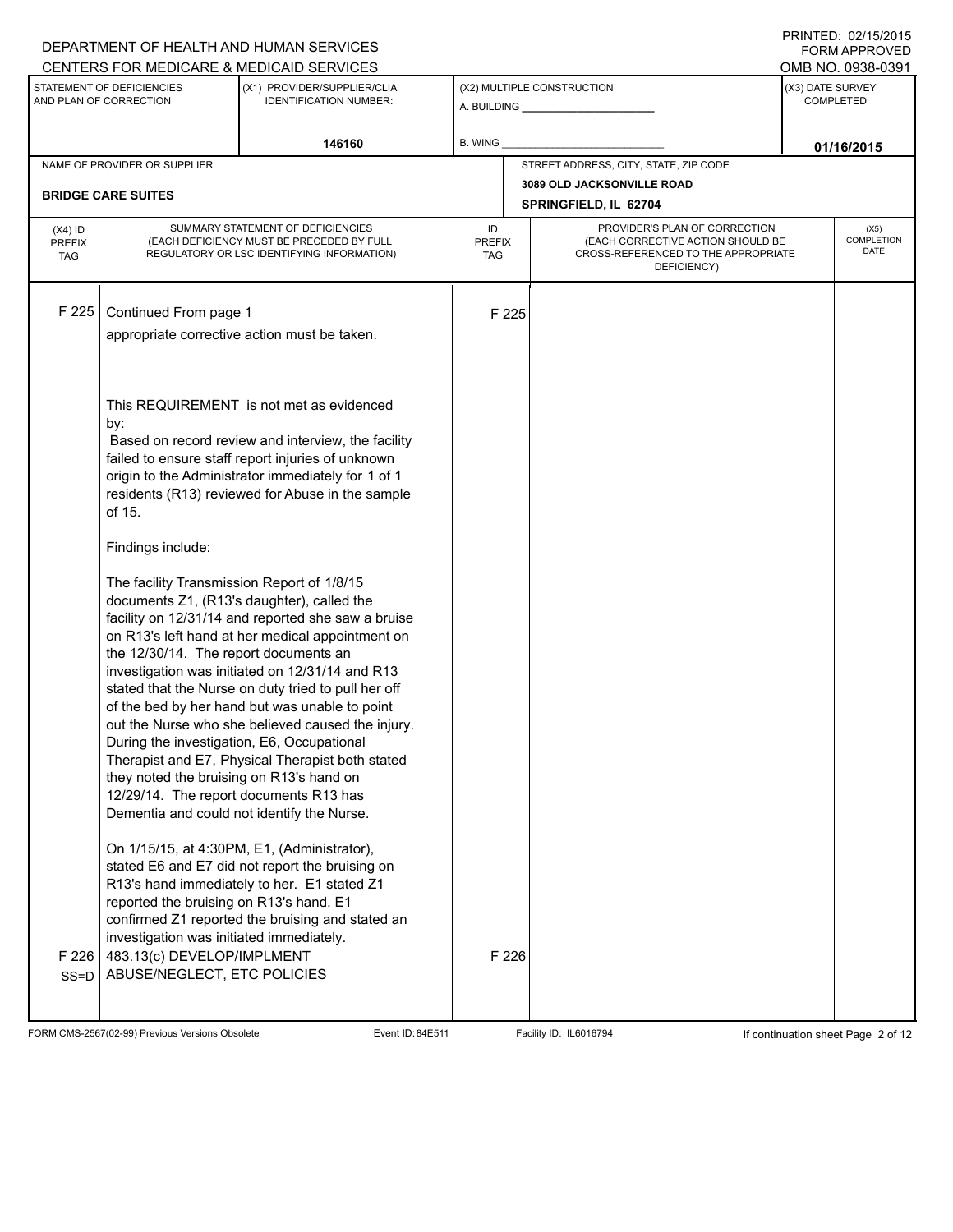| CENTERS FOR MEDICARE & MEDICAID SERVICES<br>OMB NO. 0938-0391<br>STATEMENT OF DEFICIENCIES<br>(X3) DATE SURVEY<br>(X1) PROVIDER/SUPPLIER/CLIA<br>(X2) MULTIPLE CONSTRUCTION<br>AND PLAN OF CORRECTION<br><b>IDENTIFICATION NUMBER:</b><br><b>COMPLETED</b><br>146160<br>B. WING<br>01/16/2015<br>STREET ADDRESS, CITY, STATE, ZIP CODE<br>NAME OF PROVIDER OR SUPPLIER<br>3089 OLD JACKSONVILLE ROAD<br><b>BRIDGE CARE SUITES</b><br>SPRINGFIELD, IL 62704<br>SUMMARY STATEMENT OF DEFICIENCIES<br>PROVIDER'S PLAN OF CORRECTION<br>ID<br>$(X4)$ ID<br>(X5)<br>(EACH DEFICIENCY MUST BE PRECEDED BY FULL<br>(EACH CORRECTIVE ACTION SHOULD BE<br><b>PREFIX</b><br><b>PREFIX</b><br>DATE<br>REGULATORY OR LSC IDENTIFYING INFORMATION)<br>CROSS-REFERENCED TO THE APPROPRIATE<br><b>TAG</b><br><b>TAG</b><br>DEFICIENCY)<br>F 225<br>Continued From page 1<br>F 225<br>appropriate corrective action must be taken.<br>This REQUIREMENT is not met as evidenced<br>by:<br>Based on record review and interview, the facility<br>failed to ensure staff report injuries of unknown<br>origin to the Administrator immediately for 1 of 1<br>residents (R13) reviewed for Abuse in the sample<br>of 15.<br>Findings include:<br>The facility Transmission Report of 1/8/15<br>documents Z1, (R13's daughter), called the<br>facility on 12/31/14 and reported she saw a bruise<br>on R13's left hand at her medical appointment on<br>the 12/30/14. The report documents an<br>investigation was initiated on 12/31/14 and R13<br>stated that the Nurse on duty tried to pull her off<br>of the bed by her hand but was unable to point<br>out the Nurse who she believed caused the injury.<br>During the investigation, E6, Occupational<br>Therapist and E7, Physical Therapist both stated<br>they noted the bruising on R13's hand on<br>12/29/14. The report documents R13 has<br>Dementia and could not identify the Nurse.<br>On 1/15/15, at 4:30PM, E1, (Administrator),<br>stated E6 and E7 did not report the bruising on<br>R13's hand immediately to her. E1 stated Z1<br>reported the bruising on R13's hand. E1<br>confirmed Z1 reported the bruising and stated an<br>investigation was initiated immediately.<br>F 226<br>F 226<br>483.13(c) DEVELOP/IMPLMENT<br>ABUSE/NEGLECT, ETC POLICIES<br>$SS = D$ |  | DEPARTMENT OF HEALTH AND HUMAN SERVICES |  |  |  |  | I INITILLY. VZIJVIZVIJ<br><b>FORM APPROVED</b> |  |
|------------------------------------------------------------------------------------------------------------------------------------------------------------------------------------------------------------------------------------------------------------------------------------------------------------------------------------------------------------------------------------------------------------------------------------------------------------------------------------------------------------------------------------------------------------------------------------------------------------------------------------------------------------------------------------------------------------------------------------------------------------------------------------------------------------------------------------------------------------------------------------------------------------------------------------------------------------------------------------------------------------------------------------------------------------------------------------------------------------------------------------------------------------------------------------------------------------------------------------------------------------------------------------------------------------------------------------------------------------------------------------------------------------------------------------------------------------------------------------------------------------------------------------------------------------------------------------------------------------------------------------------------------------------------------------------------------------------------------------------------------------------------------------------------------------------------------------------------------------------------------------------------------------------------------------------------------------------------------------------------------------------------------------------------------------------------------------------------------------------------------------------------------------------------------------------------------------------------------------------------------------------------------------------------------------------------|--|-----------------------------------------|--|--|--|--|------------------------------------------------|--|
|                                                                                                                                                                                                                                                                                                                                                                                                                                                                                                                                                                                                                                                                                                                                                                                                                                                                                                                                                                                                                                                                                                                                                                                                                                                                                                                                                                                                                                                                                                                                                                                                                                                                                                                                                                                                                                                                                                                                                                                                                                                                                                                                                                                                                                                                                                                        |  |                                         |  |  |  |  |                                                |  |
|                                                                                                                                                                                                                                                                                                                                                                                                                                                                                                                                                                                                                                                                                                                                                                                                                                                                                                                                                                                                                                                                                                                                                                                                                                                                                                                                                                                                                                                                                                                                                                                                                                                                                                                                                                                                                                                                                                                                                                                                                                                                                                                                                                                                                                                                                                                        |  |                                         |  |  |  |  |                                                |  |
|                                                                                                                                                                                                                                                                                                                                                                                                                                                                                                                                                                                                                                                                                                                                                                                                                                                                                                                                                                                                                                                                                                                                                                                                                                                                                                                                                                                                                                                                                                                                                                                                                                                                                                                                                                                                                                                                                                                                                                                                                                                                                                                                                                                                                                                                                                                        |  |                                         |  |  |  |  |                                                |  |
|                                                                                                                                                                                                                                                                                                                                                                                                                                                                                                                                                                                                                                                                                                                                                                                                                                                                                                                                                                                                                                                                                                                                                                                                                                                                                                                                                                                                                                                                                                                                                                                                                                                                                                                                                                                                                                                                                                                                                                                                                                                                                                                                                                                                                                                                                                                        |  |                                         |  |  |  |  |                                                |  |
|                                                                                                                                                                                                                                                                                                                                                                                                                                                                                                                                                                                                                                                                                                                                                                                                                                                                                                                                                                                                                                                                                                                                                                                                                                                                                                                                                                                                                                                                                                                                                                                                                                                                                                                                                                                                                                                                                                                                                                                                                                                                                                                                                                                                                                                                                                                        |  |                                         |  |  |  |  |                                                |  |
|                                                                                                                                                                                                                                                                                                                                                                                                                                                                                                                                                                                                                                                                                                                                                                                                                                                                                                                                                                                                                                                                                                                                                                                                                                                                                                                                                                                                                                                                                                                                                                                                                                                                                                                                                                                                                                                                                                                                                                                                                                                                                                                                                                                                                                                                                                                        |  |                                         |  |  |  |  |                                                |  |
|                                                                                                                                                                                                                                                                                                                                                                                                                                                                                                                                                                                                                                                                                                                                                                                                                                                                                                                                                                                                                                                                                                                                                                                                                                                                                                                                                                                                                                                                                                                                                                                                                                                                                                                                                                                                                                                                                                                                                                                                                                                                                                                                                                                                                                                                                                                        |  |                                         |  |  |  |  |                                                |  |
|                                                                                                                                                                                                                                                                                                                                                                                                                                                                                                                                                                                                                                                                                                                                                                                                                                                                                                                                                                                                                                                                                                                                                                                                                                                                                                                                                                                                                                                                                                                                                                                                                                                                                                                                                                                                                                                                                                                                                                                                                                                                                                                                                                                                                                                                                                                        |  |                                         |  |  |  |  | <b>COMPLETION</b>                              |  |
|                                                                                                                                                                                                                                                                                                                                                                                                                                                                                                                                                                                                                                                                                                                                                                                                                                                                                                                                                                                                                                                                                                                                                                                                                                                                                                                                                                                                                                                                                                                                                                                                                                                                                                                                                                                                                                                                                                                                                                                                                                                                                                                                                                                                                                                                                                                        |  |                                         |  |  |  |  |                                                |  |
|                                                                                                                                                                                                                                                                                                                                                                                                                                                                                                                                                                                                                                                                                                                                                                                                                                                                                                                                                                                                                                                                                                                                                                                                                                                                                                                                                                                                                                                                                                                                                                                                                                                                                                                                                                                                                                                                                                                                                                                                                                                                                                                                                                                                                                                                                                                        |  |                                         |  |  |  |  |                                                |  |
|                                                                                                                                                                                                                                                                                                                                                                                                                                                                                                                                                                                                                                                                                                                                                                                                                                                                                                                                                                                                                                                                                                                                                                                                                                                                                                                                                                                                                                                                                                                                                                                                                                                                                                                                                                                                                                                                                                                                                                                                                                                                                                                                                                                                                                                                                                                        |  |                                         |  |  |  |  |                                                |  |
|                                                                                                                                                                                                                                                                                                                                                                                                                                                                                                                                                                                                                                                                                                                                                                                                                                                                                                                                                                                                                                                                                                                                                                                                                                                                                                                                                                                                                                                                                                                                                                                                                                                                                                                                                                                                                                                                                                                                                                                                                                                                                                                                                                                                                                                                                                                        |  |                                         |  |  |  |  |                                                |  |
|                                                                                                                                                                                                                                                                                                                                                                                                                                                                                                                                                                                                                                                                                                                                                                                                                                                                                                                                                                                                                                                                                                                                                                                                                                                                                                                                                                                                                                                                                                                                                                                                                                                                                                                                                                                                                                                                                                                                                                                                                                                                                                                                                                                                                                                                                                                        |  |                                         |  |  |  |  |                                                |  |
|                                                                                                                                                                                                                                                                                                                                                                                                                                                                                                                                                                                                                                                                                                                                                                                                                                                                                                                                                                                                                                                                                                                                                                                                                                                                                                                                                                                                                                                                                                                                                                                                                                                                                                                                                                                                                                                                                                                                                                                                                                                                                                                                                                                                                                                                                                                        |  |                                         |  |  |  |  |                                                |  |
|                                                                                                                                                                                                                                                                                                                                                                                                                                                                                                                                                                                                                                                                                                                                                                                                                                                                                                                                                                                                                                                                                                                                                                                                                                                                                                                                                                                                                                                                                                                                                                                                                                                                                                                                                                                                                                                                                                                                                                                                                                                                                                                                                                                                                                                                                                                        |  |                                         |  |  |  |  |                                                |  |
|                                                                                                                                                                                                                                                                                                                                                                                                                                                                                                                                                                                                                                                                                                                                                                                                                                                                                                                                                                                                                                                                                                                                                                                                                                                                                                                                                                                                                                                                                                                                                                                                                                                                                                                                                                                                                                                                                                                                                                                                                                                                                                                                                                                                                                                                                                                        |  |                                         |  |  |  |  |                                                |  |
|                                                                                                                                                                                                                                                                                                                                                                                                                                                                                                                                                                                                                                                                                                                                                                                                                                                                                                                                                                                                                                                                                                                                                                                                                                                                                                                                                                                                                                                                                                                                                                                                                                                                                                                                                                                                                                                                                                                                                                                                                                                                                                                                                                                                                                                                                                                        |  |                                         |  |  |  |  |                                                |  |
|                                                                                                                                                                                                                                                                                                                                                                                                                                                                                                                                                                                                                                                                                                                                                                                                                                                                                                                                                                                                                                                                                                                                                                                                                                                                                                                                                                                                                                                                                                                                                                                                                                                                                                                                                                                                                                                                                                                                                                                                                                                                                                                                                                                                                                                                                                                        |  |                                         |  |  |  |  |                                                |  |
|                                                                                                                                                                                                                                                                                                                                                                                                                                                                                                                                                                                                                                                                                                                                                                                                                                                                                                                                                                                                                                                                                                                                                                                                                                                                                                                                                                                                                                                                                                                                                                                                                                                                                                                                                                                                                                                                                                                                                                                                                                                                                                                                                                                                                                                                                                                        |  |                                         |  |  |  |  |                                                |  |
|                                                                                                                                                                                                                                                                                                                                                                                                                                                                                                                                                                                                                                                                                                                                                                                                                                                                                                                                                                                                                                                                                                                                                                                                                                                                                                                                                                                                                                                                                                                                                                                                                                                                                                                                                                                                                                                                                                                                                                                                                                                                                                                                                                                                                                                                                                                        |  |                                         |  |  |  |  |                                                |  |
|                                                                                                                                                                                                                                                                                                                                                                                                                                                                                                                                                                                                                                                                                                                                                                                                                                                                                                                                                                                                                                                                                                                                                                                                                                                                                                                                                                                                                                                                                                                                                                                                                                                                                                                                                                                                                                                                                                                                                                                                                                                                                                                                                                                                                                                                                                                        |  |                                         |  |  |  |  |                                                |  |
|                                                                                                                                                                                                                                                                                                                                                                                                                                                                                                                                                                                                                                                                                                                                                                                                                                                                                                                                                                                                                                                                                                                                                                                                                                                                                                                                                                                                                                                                                                                                                                                                                                                                                                                                                                                                                                                                                                                                                                                                                                                                                                                                                                                                                                                                                                                        |  |                                         |  |  |  |  |                                                |  |
|                                                                                                                                                                                                                                                                                                                                                                                                                                                                                                                                                                                                                                                                                                                                                                                                                                                                                                                                                                                                                                                                                                                                                                                                                                                                                                                                                                                                                                                                                                                                                                                                                                                                                                                                                                                                                                                                                                                                                                                                                                                                                                                                                                                                                                                                                                                        |  |                                         |  |  |  |  |                                                |  |
|                                                                                                                                                                                                                                                                                                                                                                                                                                                                                                                                                                                                                                                                                                                                                                                                                                                                                                                                                                                                                                                                                                                                                                                                                                                                                                                                                                                                                                                                                                                                                                                                                                                                                                                                                                                                                                                                                                                                                                                                                                                                                                                                                                                                                                                                                                                        |  |                                         |  |  |  |  |                                                |  |

FORM CMS-2567(02-99) Previous Versions Obsolete Event ID: 84E511 Facility ID: IL6016794 If continuation sheet Page 2 of 12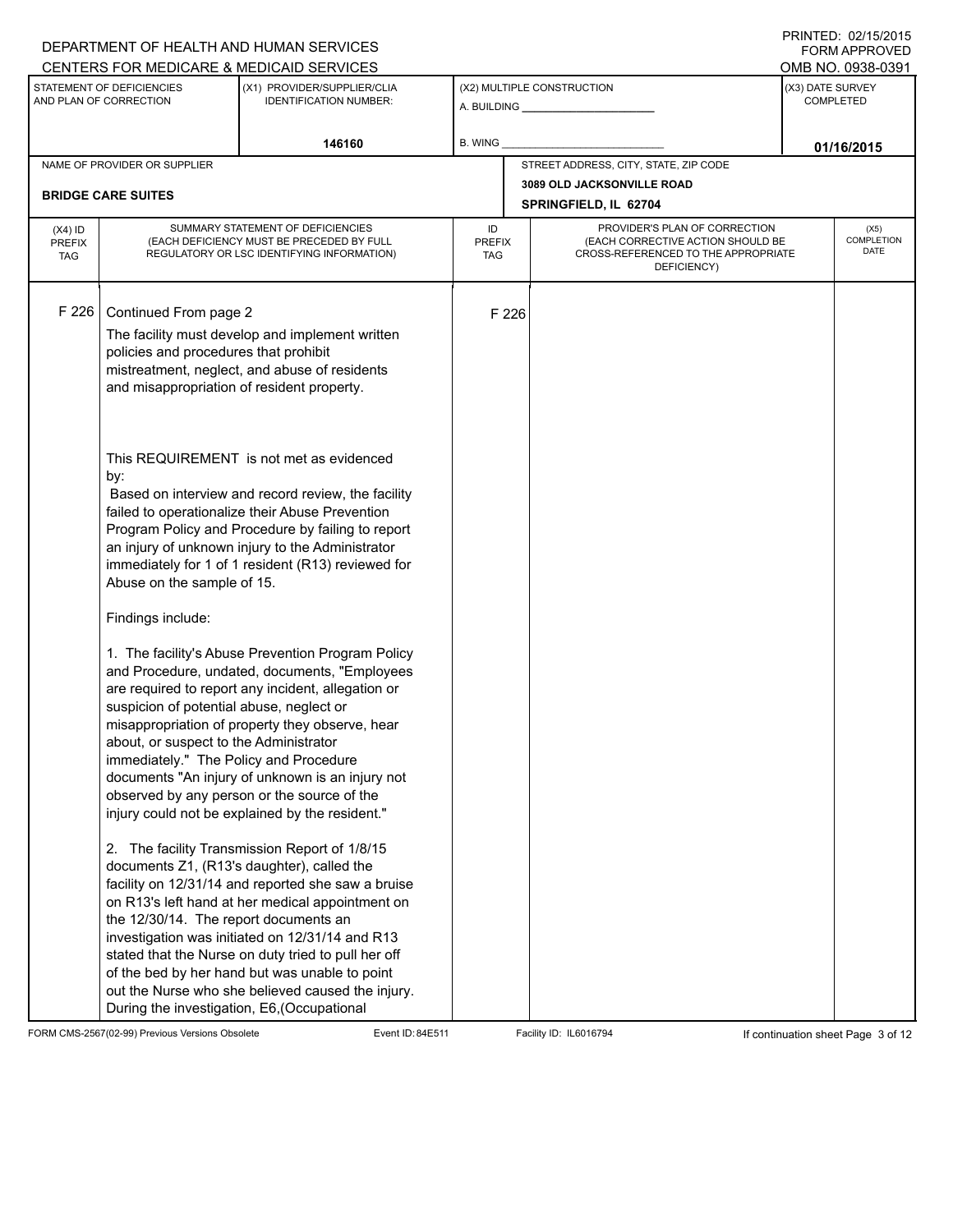|                                          |                                                                                                                              | DEPARTMENT OF HEALTH AND HUMAN SERVICES                                                                                                                                                                                                                                                                                                                                                                                |                                   |                            |                                                                                                                          |            | <b>FORM APPROVED</b>                 |  |
|------------------------------------------|------------------------------------------------------------------------------------------------------------------------------|------------------------------------------------------------------------------------------------------------------------------------------------------------------------------------------------------------------------------------------------------------------------------------------------------------------------------------------------------------------------------------------------------------------------|-----------------------------------|----------------------------|--------------------------------------------------------------------------------------------------------------------------|------------|--------------------------------------|--|
|                                          |                                                                                                                              | CENTERS FOR MEDICARE & MEDICAID SERVICES                                                                                                                                                                                                                                                                                                                                                                               |                                   |                            |                                                                                                                          |            | OMB NO. 0938-0391                    |  |
|                                          | STATEMENT OF DEFICIENCIES<br>AND PLAN OF CORRECTION                                                                          | (X1) PROVIDER/SUPPLIER/CLIA<br><b>IDENTIFICATION NUMBER:</b>                                                                                                                                                                                                                                                                                                                                                           |                                   | (X2) MULTIPLE CONSTRUCTION |                                                                                                                          |            | (X3) DATE SURVEY<br><b>COMPLETED</b> |  |
|                                          |                                                                                                                              | 146160                                                                                                                                                                                                                                                                                                                                                                                                                 | B. WING                           |                            |                                                                                                                          | 01/16/2015 |                                      |  |
|                                          | NAME OF PROVIDER OR SUPPLIER                                                                                                 |                                                                                                                                                                                                                                                                                                                                                                                                                        |                                   |                            | STREET ADDRESS, CITY, STATE, ZIP CODE                                                                                    |            |                                      |  |
|                                          | <b>BRIDGE CARE SUITES</b>                                                                                                    |                                                                                                                                                                                                                                                                                                                                                                                                                        |                                   |                            | 3089 OLD JACKSONVILLE ROAD                                                                                               |            |                                      |  |
|                                          |                                                                                                                              |                                                                                                                                                                                                                                                                                                                                                                                                                        |                                   |                            | SPRINGFIELD, IL 62704                                                                                                    |            |                                      |  |
| $(X4)$ ID<br><b>PREFIX</b><br><b>TAG</b> |                                                                                                                              | SUMMARY STATEMENT OF DEFICIENCIES<br>(EACH DEFICIENCY MUST BE PRECEDED BY FULL<br>REGULATORY OR LSC IDENTIFYING INFORMATION)                                                                                                                                                                                                                                                                                           | ID<br><b>PREFIX</b><br><b>TAG</b> |                            | PROVIDER'S PLAN OF CORRECTION<br>(EACH CORRECTIVE ACTION SHOULD BE<br>CROSS-REFERENCED TO THE APPROPRIATE<br>DEFICIENCY) |            | (X5)<br><b>COMPLETION</b><br>DATE    |  |
| F 226                                    | Continued From page 2                                                                                                        | The facility must develop and implement written                                                                                                                                                                                                                                                                                                                                                                        |                                   | F 226                      |                                                                                                                          |            |                                      |  |
|                                          | policies and procedures that prohibit<br>and misappropriation of resident property.                                          | mistreatment, neglect, and abuse of residents                                                                                                                                                                                                                                                                                                                                                                          |                                   |                            |                                                                                                                          |            |                                      |  |
|                                          | by:<br>Abuse on the sample of 15.                                                                                            | This REQUIREMENT is not met as evidenced<br>Based on interview and record review, the facility<br>failed to operationalize their Abuse Prevention<br>Program Policy and Procedure by failing to report<br>an injury of unknown injury to the Administrator<br>immediately for 1 of 1 resident (R13) reviewed for                                                                                                       |                                   |                            |                                                                                                                          |            |                                      |  |
|                                          | Findings include:                                                                                                            |                                                                                                                                                                                                                                                                                                                                                                                                                        |                                   |                            |                                                                                                                          |            |                                      |  |
|                                          | suspicion of potential abuse, neglect or<br>about, or suspect to the Administrator<br>immediately." The Policy and Procedure | 1. The facility's Abuse Prevention Program Policy<br>and Procedure, undated, documents, "Employees<br>are required to report any incident, allegation or<br>misappropriation of property they observe, hear<br>documents "An injury of unknown is an injury not<br>observed by any person or the source of the<br>injury could not be explained by the resident."                                                      |                                   |                            |                                                                                                                          |            |                                      |  |
|                                          | the 12/30/14. The report documents an<br>During the investigation, E6, (Occupational                                         | 2. The facility Transmission Report of 1/8/15<br>documents Z1, (R13's daughter), called the<br>facility on 12/31/14 and reported she saw a bruise<br>on R13's left hand at her medical appointment on<br>investigation was initiated on 12/31/14 and R13<br>stated that the Nurse on duty tried to pull her off<br>of the bed by her hand but was unable to point<br>out the Nurse who she believed caused the injury. |                                   |                            |                                                                                                                          |            |                                      |  |

FORM CMS-2567(02-99) Previous Versions Obsolete Event ID: 84E511 Facility ID: IL6016794 If continuation sheet Page 3 of 12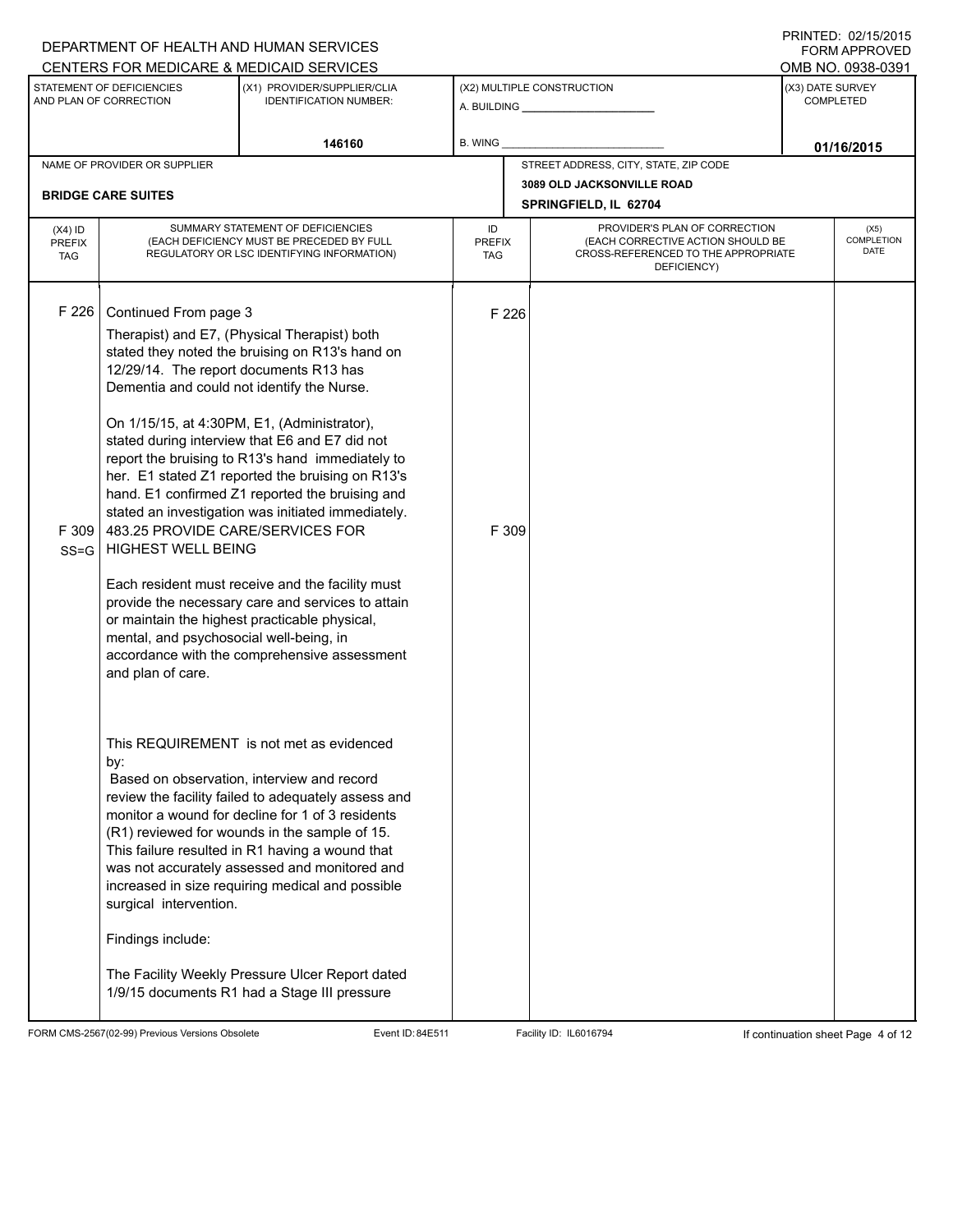|                                          | DEPARTMENT OF HEALTH AND HUMAN SERVICES                                                                                                                                                                                                        |                                                                                                                                                                                                                                                                                                                                                                                                                                                                                                                                                                                                                             |                                   |                                                                                                                          |                                       | <b>FORM APPROVED</b>              |  |
|------------------------------------------|------------------------------------------------------------------------------------------------------------------------------------------------------------------------------------------------------------------------------------------------|-----------------------------------------------------------------------------------------------------------------------------------------------------------------------------------------------------------------------------------------------------------------------------------------------------------------------------------------------------------------------------------------------------------------------------------------------------------------------------------------------------------------------------------------------------------------------------------------------------------------------------|-----------------------------------|--------------------------------------------------------------------------------------------------------------------------|---------------------------------------|-----------------------------------|--|
|                                          |                                                                                                                                                                                                                                                | CENTERS FOR MEDICARE & MEDICAID SERVICES                                                                                                                                                                                                                                                                                                                                                                                                                                                                                                                                                                                    |                                   |                                                                                                                          | OMB NO. 0938-0391<br>(X3) DATE SURVEY |                                   |  |
|                                          | STATEMENT OF DEFICIENCIES<br>AND PLAN OF CORRECTION                                                                                                                                                                                            | (X1) PROVIDER/SUPPLIER/CLIA<br><b>IDENTIFICATION NUMBER:</b>                                                                                                                                                                                                                                                                                                                                                                                                                                                                                                                                                                |                                   | (X2) MULTIPLE CONSTRUCTION                                                                                               | <b>COMPLETED</b>                      |                                   |  |
|                                          |                                                                                                                                                                                                                                                | 146160                                                                                                                                                                                                                                                                                                                                                                                                                                                                                                                                                                                                                      | <b>B. WING</b>                    |                                                                                                                          |                                       | 01/16/2015                        |  |
|                                          | NAME OF PROVIDER OR SUPPLIER                                                                                                                                                                                                                   |                                                                                                                                                                                                                                                                                                                                                                                                                                                                                                                                                                                                                             |                                   | STREET ADDRESS, CITY, STATE, ZIP CODE                                                                                    |                                       |                                   |  |
|                                          | <b>BRIDGE CARE SUITES</b>                                                                                                                                                                                                                      |                                                                                                                                                                                                                                                                                                                                                                                                                                                                                                                                                                                                                             |                                   | 3089 OLD JACKSONVILLE ROAD                                                                                               |                                       |                                   |  |
|                                          |                                                                                                                                                                                                                                                |                                                                                                                                                                                                                                                                                                                                                                                                                                                                                                                                                                                                                             |                                   | SPRINGFIELD, IL 62704                                                                                                    |                                       |                                   |  |
| $(X4)$ ID<br><b>PREFIX</b><br><b>TAG</b> |                                                                                                                                                                                                                                                | SUMMARY STATEMENT OF DEFICIENCIES<br>(EACH DEFICIENCY MUST BE PRECEDED BY FULL<br>REGULATORY OR LSC IDENTIFYING INFORMATION)                                                                                                                                                                                                                                                                                                                                                                                                                                                                                                | ID<br><b>PREFIX</b><br><b>TAG</b> | PROVIDER'S PLAN OF CORRECTION<br>(EACH CORRECTIVE ACTION SHOULD BE<br>CROSS-REFERENCED TO THE APPROPRIATE<br>DEFICIENCY) |                                       | (X5)<br><b>COMPLETION</b><br>DATE |  |
| F226<br>F309<br>$SS = G$                 | Continued From page 3<br>12/29/14. The report documents R13 has<br>Dementia and could not identify the Nurse.<br>483.25 PROVIDE CARE/SERVICES FOR<br><b>HIGHEST WELL BEING</b><br>mental, and psychosocial well-being, in<br>and plan of care. | Therapist) and E7, (Physical Therapist) both<br>stated they noted the bruising on R13's hand on<br>On 1/15/15, at 4:30PM, E1, (Administrator),<br>stated during interview that E6 and E7 did not<br>report the bruising to R13's hand immediately to<br>her. E1 stated Z1 reported the bruising on R13's<br>hand. E1 confirmed Z1 reported the bruising and<br>stated an investigation was initiated immediately.<br>Each resident must receive and the facility must<br>provide the necessary care and services to attain<br>or maintain the highest practicable physical,<br>accordance with the comprehensive assessment | F 226<br>F 309                    |                                                                                                                          |                                       |                                   |  |
|                                          | by:<br>surgical intervention.<br>Findings include:                                                                                                                                                                                             | This REQUIREMENT is not met as evidenced<br>Based on observation, interview and record<br>review the facility failed to adequately assess and<br>monitor a wound for decline for 1 of 3 residents<br>(R1) reviewed for wounds in the sample of 15.<br>This failure resulted in R1 having a wound that<br>was not accurately assessed and monitored and<br>increased in size requiring medical and possible<br>The Facility Weekly Pressure Ulcer Report dated<br>1/9/15 documents R1 had a Stage III pressure                                                                                                               |                                   |                                                                                                                          |                                       |                                   |  |

DEPARTMENT OF HEALTH AND HUMAN SERVICES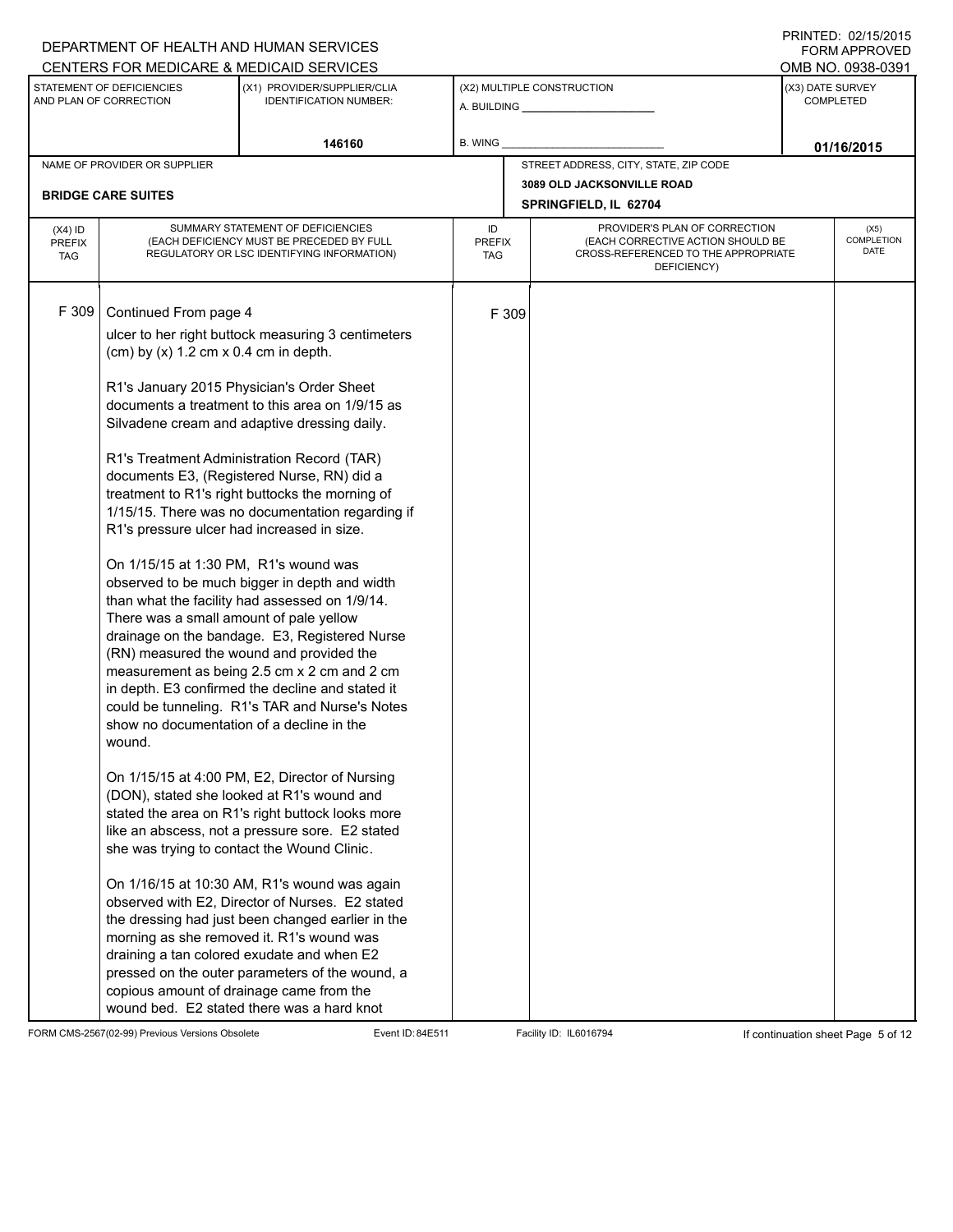## A. BUILDING **\_\_\_\_\_\_\_\_\_\_\_\_\_\_\_\_\_\_\_\_\_\_** (X1) PROVIDER/SUPPLIER/CLIA IDENTIFICATION NUMBER: STATEMENT OF DEFICIENCIES AND PLAN OF CORRECTION (X3) DATE SURVEY COMPLETED FORM APPROVED (X2) MULTIPLE CONSTRUCTION **B. WING** CENTERS FOR MEDICARE & MEDICAID SERVICES **And CENTERS FOR MEDICAL ACCESS** OMB NO. 0938-0391 **146160 01/16/2015** NAME OF PROVIDER OR SUPPLIER STREET ADDRESS, CITY, STATE, ZIP CODE **3089 OLD JACKSONVILLE ROAD BRIDGE CARE SUITES SPRINGFIELD, IL 62704** PROVIDER'S PLAN OF CORRECTION (EACH CORRECTIVE ACTION SHOULD BE CROSS-REFERENCED TO THE APPROPRIATE DEFICIENCY) (X5) **COMPLETION** DATE ID PREFIX TAG (X4) ID PREFIX TAG SUMMARY STATEMENT OF DEFICIENCIES (EACH DEFICIENCY MUST BE PRECEDED BY FULL REGULATORY OR LSC IDENTIFYING INFORMATION) F 309 Continued From page 4 F 309 ulcer to her right buttock measuring 3 centimeters (cm) by  $(x)$  1.2 cm  $x$  0.4 cm in depth. R1's January 2015 Physician's Order Sheet documents a treatment to this area on 1/9/15 as Silvadene cream and adaptive dressing daily. R1's Treatment Administration Record (TAR) documents E3, (Registered Nurse, RN) did a treatment to R1's right buttocks the morning of 1/15/15. There was no documentation regarding if R1's pressure ulcer had increased in size. On 1/15/15 at 1:30 PM, R1's wound was observed to be much bigger in depth and width than what the facility had assessed on 1/9/14. There was a small amount of pale yellow drainage on the bandage. E3, Registered Nurse (RN) measured the wound and provided the measurement as being 2.5 cm x 2 cm and 2 cm in depth. E3 confirmed the decline and stated it could be tunneling. R1's TAR and Nurse's Notes show no documentation of a decline in the wound. On 1/15/15 at 4:00 PM, E2, Director of Nursing (DON), stated she looked at R1's wound and stated the area on R1's right buttock looks more like an abscess, not a pressure sore. E2 stated she was trying to contact the Wound Clinic. On 1/16/15 at 10:30 AM, R1's wound was again observed with E2, Director of Nurses. E2 stated the dressing had just been changed earlier in the morning as she removed it. R1's wound was draining a tan colored exudate and when E2 pressed on the outer parameters of the wound, a copious amount of drainage came from the wound bed. E2 stated there was a hard knot

FORM CMS-2567(02-99) Previous Versions Obsolete Event ID: 84E511 Facility ID: IL6016794 If continuation sheet Page 5 of 12

DEPARTMENT OF HEALTH AND HUMAN SERVICES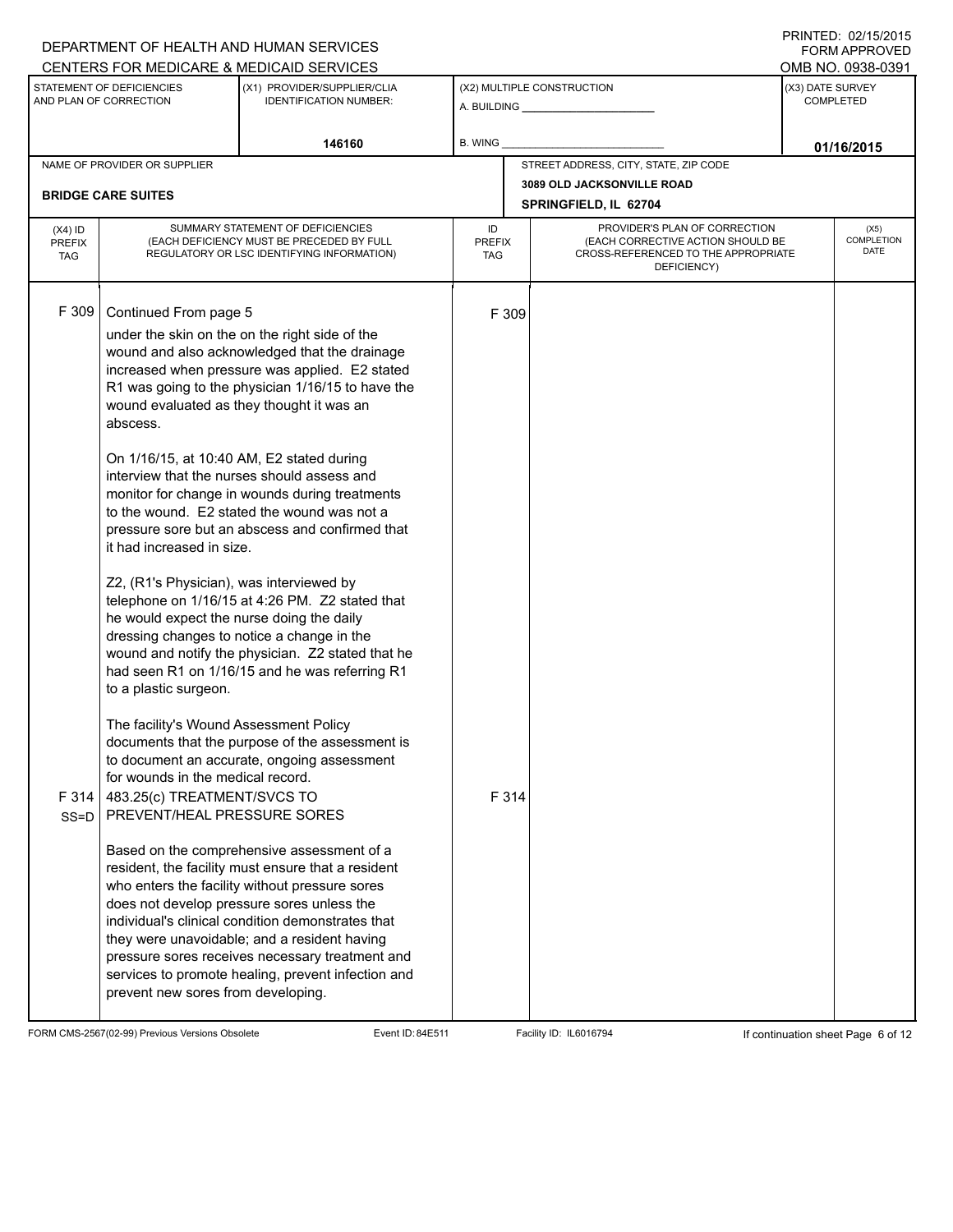## A. BUILDING **\_\_\_\_\_\_\_\_\_\_\_\_\_\_\_\_\_\_\_\_\_\_** (X1) PROVIDER/SUPPLIER/CLIA IDENTIFICATION NUMBER: STATEMENT OF DEFICIENCIES AND PLAN OF CORRECTION (X3) DATE SURVEY COMPLETED FORM APPROVED (X2) MULTIPLE CONSTRUCTION **B. WING** CENTERS FOR MEDICARE & MEDICAID SERVICES **And CENTERS FOR MEDICAL ACCESS** OMB NO. 0938-0391 **146160 B. WING D. CONSUMING D. CONSUMING D. CONSUMING D. CONSUMING D. CONSUMING D. CONSUMING D. CONSUMING** NAME OF PROVIDER OR SUPPLIER STREET ADDRESS, CITY, STATE, ZIP CODE **3089 OLD JACKSONVILLE ROAD BRIDGE CARE SUITES SPRINGFIELD, IL 62704** PROVIDER'S PLAN OF CORRECTION (EACH CORRECTIVE ACTION SHOULD BE CROSS-REFERENCED TO THE APPROPRIATE DEFICIENCY) (X5) **COMPLETION** DATE ID PREFIX TAG (X4) ID PREFIX TAG SUMMARY STATEMENT OF DEFICIENCIES (EACH DEFICIENCY MUST BE PRECEDED BY FULL REGULATORY OR LSC IDENTIFYING INFORMATION) F 309 Continued From page 5 F 309 under the skin on the on the right side of the wound and also acknowledged that the drainage increased when pressure was applied. E2 stated R1 was going to the physician 1/16/15 to have the wound evaluated as they thought it was an abscess. On 1/16/15, at 10:40 AM, E2 stated during interview that the nurses should assess and monitor for change in wounds during treatments to the wound. E2 stated the wound was not a pressure sore but an abscess and confirmed that it had increased in size. Z2, (R1's Physician), was interviewed by telephone on 1/16/15 at 4:26 PM. Z2 stated that he would expect the nurse doing the daily dressing changes to notice a change in the wound and notify the physician. Z2 stated that he had seen R1 on 1/16/15 and he was referring R1 to a plastic surgeon. The facility's Wound Assessment Policy documents that the purpose of the assessment is to document an accurate, ongoing assessment for wounds in the medical record. F 314 483.25(c) TREATMENT/SVCS TO SS=D PREVENT/HEAL PRESSURE SORES Based on the comprehensive assessment of a resident, the facility must ensure that a resident who enters the facility without pressure sores does not develop pressure sores unless the individual's clinical condition demonstrates that they were unavoidable; and a resident having pressure sores receives necessary treatment and services to promote healing, prevent infection and prevent new sores from developing. F 314

FORM CMS-2567(02-99) Previous Versions Obsolete Event ID: 84E511 Facility ID: IL6016794 If continuation sheet Page 6 of 12

DEPARTMENT OF HEALTH AND HUMAN SERVICES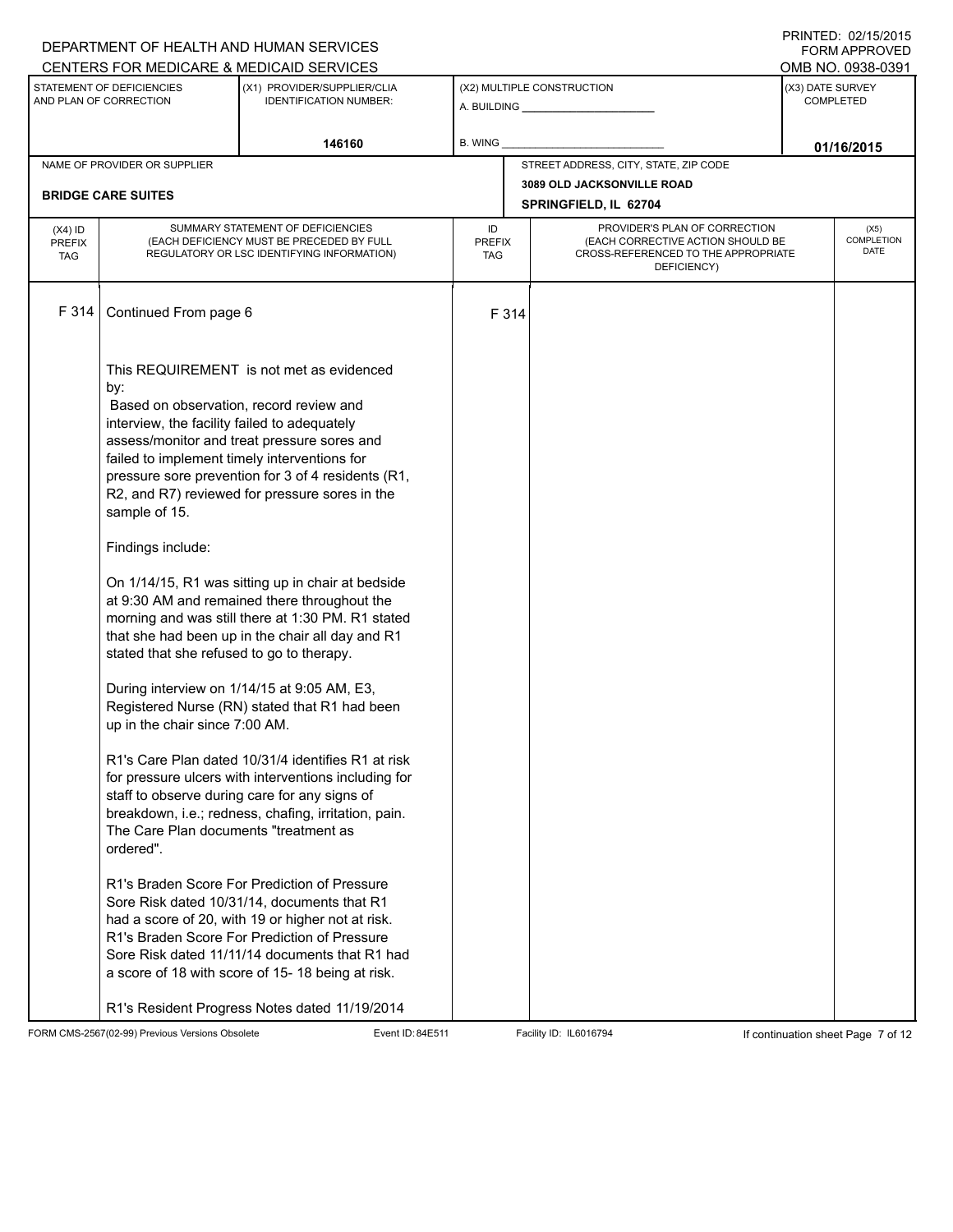|                                   |                                                                                                                                                                                                                                                                                                                           | DEPARTMENT OF HEALTH AND HUMAN SERVICES                                                                                                                                                                                                                                                                                                                                                                                                                                                                                                                                                                                                                                                                                                                                                                                                                                                                                                                                                                                                                                                         |                            |                                                                                                                          |                                                    | I INITILLY. VZIIVIZVIJ<br>FORM APPROVED |  |  |
|-----------------------------------|---------------------------------------------------------------------------------------------------------------------------------------------------------------------------------------------------------------------------------------------------------------------------------------------------------------------------|-------------------------------------------------------------------------------------------------------------------------------------------------------------------------------------------------------------------------------------------------------------------------------------------------------------------------------------------------------------------------------------------------------------------------------------------------------------------------------------------------------------------------------------------------------------------------------------------------------------------------------------------------------------------------------------------------------------------------------------------------------------------------------------------------------------------------------------------------------------------------------------------------------------------------------------------------------------------------------------------------------------------------------------------------------------------------------------------------|----------------------------|--------------------------------------------------------------------------------------------------------------------------|----------------------------------------------------|-----------------------------------------|--|--|
|                                   |                                                                                                                                                                                                                                                                                                                           | CENTERS FOR MEDICARE & MEDICAID SERVICES                                                                                                                                                                                                                                                                                                                                                                                                                                                                                                                                                                                                                                                                                                                                                                                                                                                                                                                                                                                                                                                        |                            |                                                                                                                          |                                                    | OMB NO. 0938-0391                       |  |  |
|                                   | STATEMENT OF DEFICIENCIES<br>AND PLAN OF CORRECTION                                                                                                                                                                                                                                                                       | (X1) PROVIDER/SUPPLIER/CLIA<br><b>IDENTIFICATION NUMBER:</b>                                                                                                                                                                                                                                                                                                                                                                                                                                                                                                                                                                                                                                                                                                                                                                                                                                                                                                                                                                                                                                    |                            | (X2) MULTIPLE CONSTRUCTION                                                                                               | (X3) DATE SURVEY<br><b>COMPLETED</b><br>01/16/2015 |                                         |  |  |
|                                   |                                                                                                                                                                                                                                                                                                                           | 146160                                                                                                                                                                                                                                                                                                                                                                                                                                                                                                                                                                                                                                                                                                                                                                                                                                                                                                                                                                                                                                                                                          | B. WING                    |                                                                                                                          |                                                    |                                         |  |  |
|                                   | NAME OF PROVIDER OR SUPPLIER                                                                                                                                                                                                                                                                                              |                                                                                                                                                                                                                                                                                                                                                                                                                                                                                                                                                                                                                                                                                                                                                                                                                                                                                                                                                                                                                                                                                                 |                            | STREET ADDRESS, CITY, STATE, ZIP CODE                                                                                    |                                                    |                                         |  |  |
|                                   | <b>BRIDGE CARE SUITES</b>                                                                                                                                                                                                                                                                                                 |                                                                                                                                                                                                                                                                                                                                                                                                                                                                                                                                                                                                                                                                                                                                                                                                                                                                                                                                                                                                                                                                                                 |                            | 3089 OLD JACKSONVILLE ROAD                                                                                               |                                                    |                                         |  |  |
|                                   |                                                                                                                                                                                                                                                                                                                           |                                                                                                                                                                                                                                                                                                                                                                                                                                                                                                                                                                                                                                                                                                                                                                                                                                                                                                                                                                                                                                                                                                 |                            | SPRINGFIELD, IL 62704                                                                                                    |                                                    |                                         |  |  |
| $(X4)$ ID<br>PREFIX<br><b>TAG</b> |                                                                                                                                                                                                                                                                                                                           | SUMMARY STATEMENT OF DEFICIENCIES<br>(EACH DEFICIENCY MUST BE PRECEDED BY FULL<br>REGULATORY OR LSC IDENTIFYING INFORMATION)                                                                                                                                                                                                                                                                                                                                                                                                                                                                                                                                                                                                                                                                                                                                                                                                                                                                                                                                                                    | ID<br><b>PREFIX</b><br>TAG | PROVIDER'S PLAN OF CORRECTION<br>(EACH CORRECTIVE ACTION SHOULD BE<br>CROSS-REFERENCED TO THE APPROPRIATE<br>DEFICIENCY) |                                                    | (X5)<br><b>COMPLETION</b><br>DATE       |  |  |
| F 314                             | Continued From page 6                                                                                                                                                                                                                                                                                                     |                                                                                                                                                                                                                                                                                                                                                                                                                                                                                                                                                                                                                                                                                                                                                                                                                                                                                                                                                                                                                                                                                                 | F 314                      |                                                                                                                          |                                                    |                                         |  |  |
|                                   | by:<br>Based on observation, record review and<br>interview, the facility failed to adequately<br>failed to implement timely interventions for<br>sample of 15.<br>Findings include:<br>stated that she refused to go to therapy.<br>up in the chair since 7:00 AM.<br>The Care Plan documents "treatment as<br>ordered". | This REQUIREMENT is not met as evidenced<br>assess/monitor and treat pressure sores and<br>pressure sore prevention for 3 of 4 residents (R1,<br>R2, and R7) reviewed for pressure sores in the<br>On 1/14/15, R1 was sitting up in chair at bedside<br>at 9:30 AM and remained there throughout the<br>morning and was still there at 1:30 PM. R1 stated<br>that she had been up in the chair all day and R1<br>During interview on 1/14/15 at 9:05 AM, E3,<br>Registered Nurse (RN) stated that R1 had been<br>R1's Care Plan dated 10/31/4 identifies R1 at risk<br>for pressure ulcers with interventions including for<br>staff to observe during care for any signs of<br>breakdown, i.e.; redness, chafing, irritation, pain.<br>R1's Braden Score For Prediction of Pressure<br>Sore Risk dated 10/31/14, documents that R1<br>had a score of 20, with 19 or higher not at risk.<br>R1's Braden Score For Prediction of Pressure<br>Sore Risk dated 11/11/14 documents that R1 had<br>a score of 18 with score of 15-18 being at risk.<br>R1's Resident Progress Notes dated 11/19/2014 |                            |                                                                                                                          |                                                    |                                         |  |  |

FORM CMS-2567(02-99) Previous Versions Obsolete Event ID: 84E511 Facility ID: IL6016794 If continuation sheet Page 7 of 12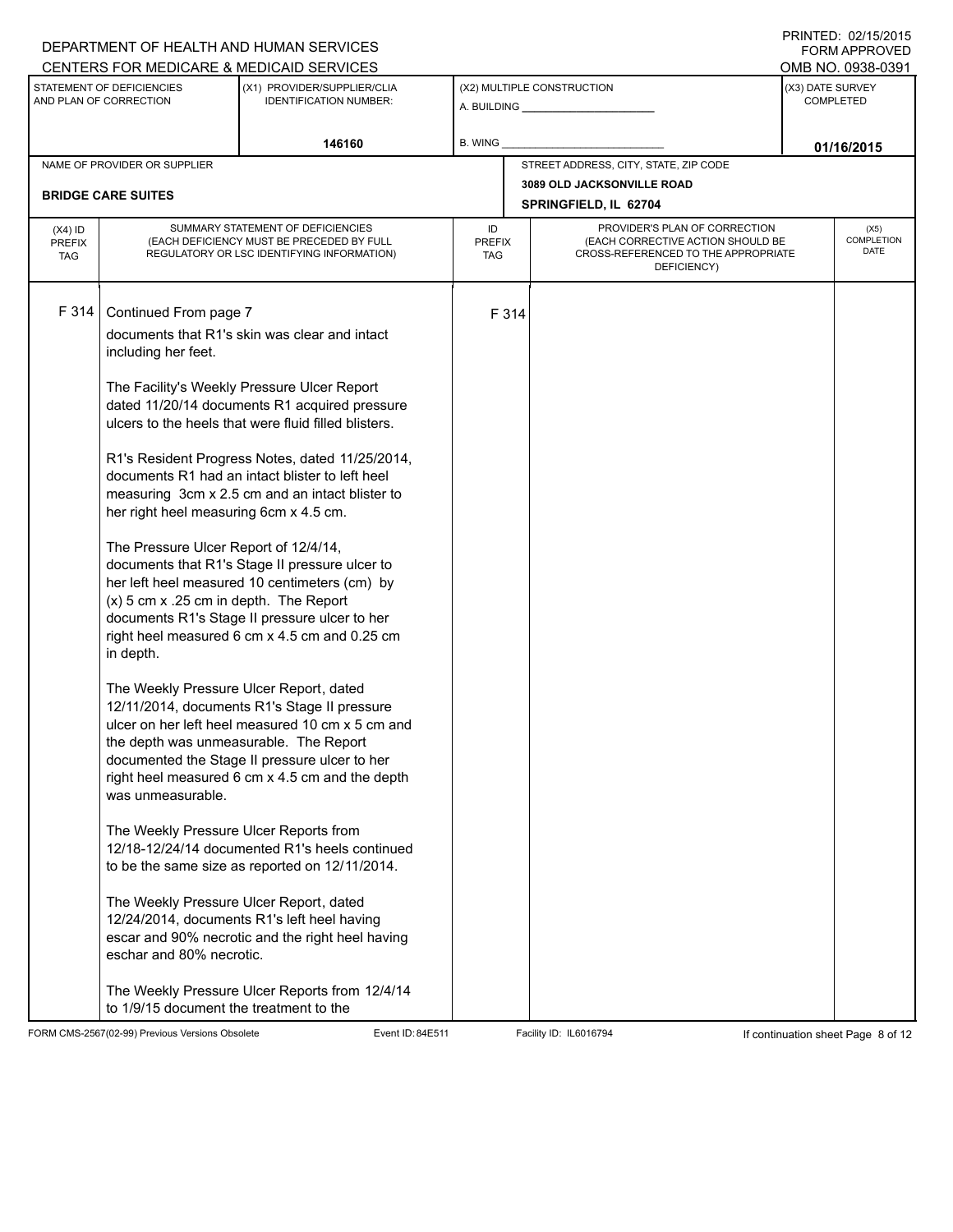## A. BUILDING **\_\_\_\_\_\_\_\_\_\_\_\_\_\_\_\_\_\_\_\_\_\_** (X1) PROVIDER/SUPPLIER/CLIA IDENTIFICATION NUMBER: STATEMENT OF DEFICIENCIES AND PLAN OF CORRECTION (X3) DATE SURVEY COMPLETED FORM APPROVED (X2) MULTIPLE CONSTRUCTION **B. WING** CENTERS FOR MEDICARE & MEDICAID SERVICES **And CENTERS FOR MEDICAL ACCESS** OMB NO. 0938-0391 **146160 B. WING D. CONSUMING D. CONSUMING D. CONSUMING D. CONSUMING D. CONSUMING D. CONSUMING D. CONSUMING** NAME OF PROVIDER OR SUPPLIER STREET ADDRESS, CITY, STATE, ZIP CODE **3089 OLD JACKSONVILLE ROAD BRIDGE CARE SUITES SPRINGFIELD, IL 62704** PROVIDER'S PLAN OF CORRECTION (EACH CORRECTIVE ACTION SHOULD BE CROSS-REFERENCED TO THE APPROPRIATE DEFICIENCY) (X5) **COMPLETION** DATE ID PREFIX TAG (X4) ID PREFIX TAG SUMMARY STATEMENT OF DEFICIENCIES (EACH DEFICIENCY MUST BE PRECEDED BY FULL REGULATORY OR LSC IDENTIFYING INFORMATION) F 314 Continued From page 7 F 314 documents that R1's skin was clear and intact including her feet. The Facility's Weekly Pressure Ulcer Report dated 11/20/14 documents R1 acquired pressure ulcers to the heels that were fluid filled blisters. R1's Resident Progress Notes, dated 11/25/2014, documents R1 had an intact blister to left heel measuring 3cm x 2.5 cm and an intact blister to her right heel measuring 6cm x 4.5 cm. The Pressure Ulcer Report of 12/4/14, documents that R1's Stage II pressure ulcer to her left heel measured 10 centimeters (cm) by (x) 5 cm x .25 cm in depth. The Report documents R1's Stage II pressure ulcer to her right heel measured 6 cm x 4.5 cm and 0.25 cm in depth. The Weekly Pressure Ulcer Report, dated 12/11/2014, documents R1's Stage II pressure ulcer on her left heel measured 10 cm x 5 cm and the depth was unmeasurable. The Report documented the Stage II pressure ulcer to her right heel measured 6 cm x 4.5 cm and the depth was unmeasurable. The Weekly Pressure Ulcer Reports from 12/18-12/24/14 documented R1's heels continued to be the same size as reported on 12/11/2014. The Weekly Pressure Ulcer Report, dated 12/24/2014, documents R1's left heel having escar and 90% necrotic and the right heel having eschar and 80% necrotic. The Weekly Pressure Ulcer Reports from 12/4/14 to 1/9/15 document the treatment to the

FORM CMS-2567(02-99) Previous Versions Obsolete Event ID: 84E511 Facility ID: IL6016794 If continuation sheet Page 8 of 12

DEPARTMENT OF HEALTH AND HUMAN SERVICES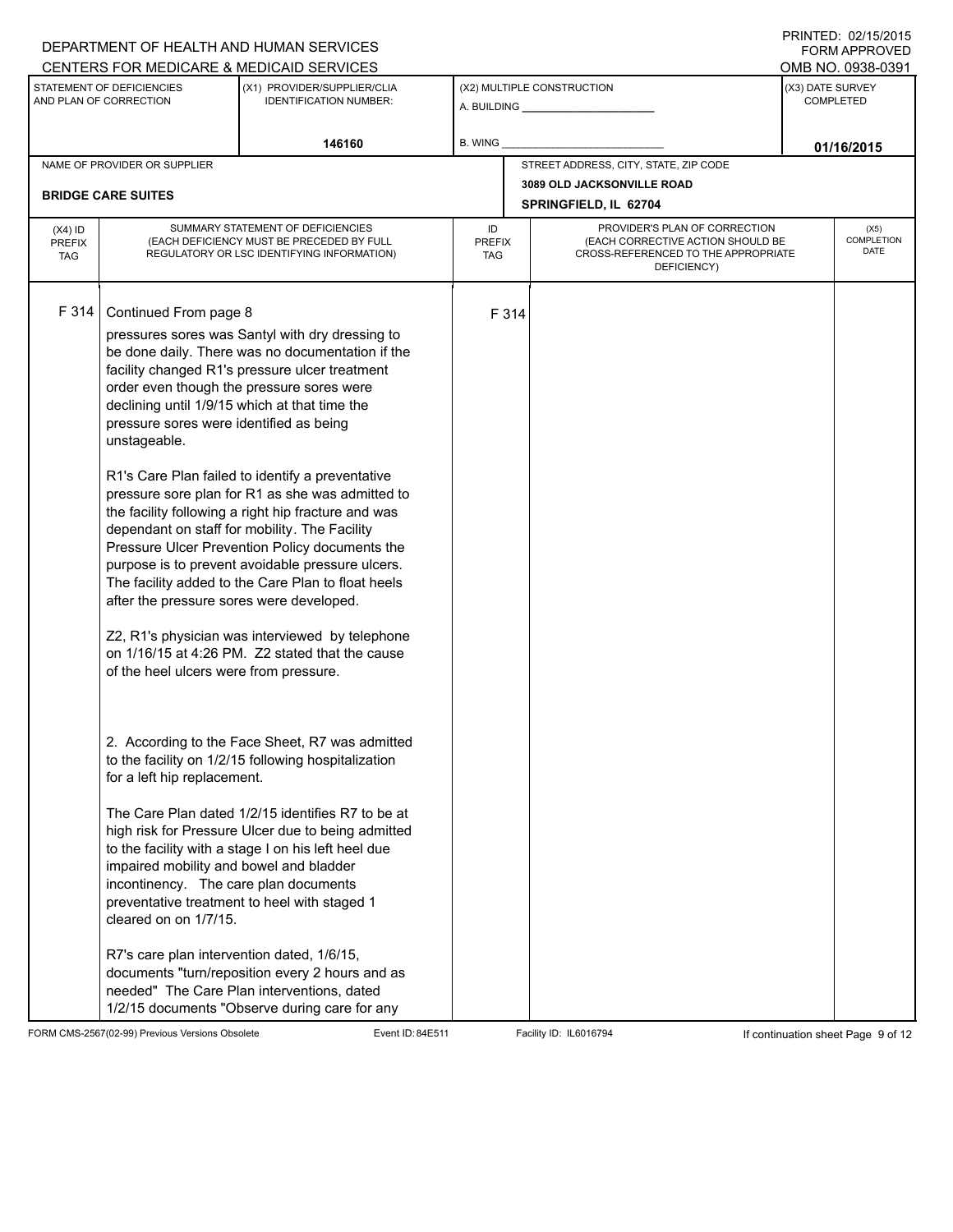|                                          |                                                                                                                                                                                        | DEPARTMENT OF HEALTH AND HUMAN SERVICES                                                                                                                                                                                                                                                                                                                                                                                                                                                                                                                                                                                                                                                                                               |                            |                            |                                                                                                                          |            | I INITILLY. VZIJVIZVIJ<br><b>FORM APPROVED</b> |  |  |
|------------------------------------------|----------------------------------------------------------------------------------------------------------------------------------------------------------------------------------------|---------------------------------------------------------------------------------------------------------------------------------------------------------------------------------------------------------------------------------------------------------------------------------------------------------------------------------------------------------------------------------------------------------------------------------------------------------------------------------------------------------------------------------------------------------------------------------------------------------------------------------------------------------------------------------------------------------------------------------------|----------------------------|----------------------------|--------------------------------------------------------------------------------------------------------------------------|------------|------------------------------------------------|--|--|
|                                          |                                                                                                                                                                                        | CENTERS FOR MEDICARE & MEDICAID SERVICES                                                                                                                                                                                                                                                                                                                                                                                                                                                                                                                                                                                                                                                                                              |                            |                            |                                                                                                                          |            | OMB NO. 0938-0391                              |  |  |
|                                          | STATEMENT OF DEFICIENCIES<br>AND PLAN OF CORRECTION                                                                                                                                    | (X1) PROVIDER/SUPPLIER/CLIA<br><b>IDENTIFICATION NUMBER:</b>                                                                                                                                                                                                                                                                                                                                                                                                                                                                                                                                                                                                                                                                          |                            | (X2) MULTIPLE CONSTRUCTION |                                                                                                                          |            | (X3) DATE SURVEY<br><b>COMPLETED</b>           |  |  |
|                                          |                                                                                                                                                                                        | 146160                                                                                                                                                                                                                                                                                                                                                                                                                                                                                                                                                                                                                                                                                                                                | B. WING                    |                            |                                                                                                                          | 01/16/2015 |                                                |  |  |
|                                          | NAME OF PROVIDER OR SUPPLIER                                                                                                                                                           |                                                                                                                                                                                                                                                                                                                                                                                                                                                                                                                                                                                                                                                                                                                                       |                            |                            | STREET ADDRESS, CITY, STATE, ZIP CODE                                                                                    |            |                                                |  |  |
|                                          | <b>BRIDGE CARE SUITES</b>                                                                                                                                                              |                                                                                                                                                                                                                                                                                                                                                                                                                                                                                                                                                                                                                                                                                                                                       |                            |                            | 3089 OLD JACKSONVILLE ROAD<br>SPRINGFIELD, IL 62704                                                                      |            |                                                |  |  |
| $(X4)$ ID<br><b>PREFIX</b><br><b>TAG</b> |                                                                                                                                                                                        | SUMMARY STATEMENT OF DEFICIENCIES<br>(EACH DEFICIENCY MUST BE PRECEDED BY FULL<br>REGULATORY OR LSC IDENTIFYING INFORMATION)                                                                                                                                                                                                                                                                                                                                                                                                                                                                                                                                                                                                          | ID<br><b>PREFIX</b><br>TAG |                            | PROVIDER'S PLAN OF CORRECTION<br>(EACH CORRECTIVE ACTION SHOULD BE<br>CROSS-REFERENCED TO THE APPROPRIATE<br>DEFICIENCY) |            | (X5)<br><b>COMPLETION</b><br>DATE              |  |  |
| F 314                                    | Continued From page 8<br>pressure sores were identified as being<br>unstageable.<br>after the pressure sores were developed.<br>of the heel ulcers were from pressure.                 | pressures sores was Santyl with dry dressing to<br>be done daily. There was no documentation if the<br>facility changed R1's pressure ulcer treatment<br>order even though the pressure sores were<br>declining until 1/9/15 which at that time the<br>R1's Care Plan failed to identify a preventative<br>pressure sore plan for R1 as she was admitted to<br>the facility following a right hip fracture and was<br>dependant on staff for mobility. The Facility<br>Pressure Ulcer Prevention Policy documents the<br>purpose is to prevent avoidable pressure ulcers.<br>The facility added to the Care Plan to float heels<br>Z2, R1's physician was interviewed by telephone<br>on 1/16/15 at 4:26 PM. Z2 stated that the cause |                            | F 314                      |                                                                                                                          |            |                                                |  |  |
|                                          | for a left hip replacement.<br>impaired mobility and bowel and bladder<br>incontinency. The care plan documents<br>cleared on on 1/7/15.<br>R7's care plan intervention dated, 1/6/15, | 2. According to the Face Sheet, R7 was admitted<br>to the facility on 1/2/15 following hospitalization<br>The Care Plan dated 1/2/15 identifies R7 to be at<br>high risk for Pressure Ulcer due to being admitted<br>to the facility with a stage I on his left heel due<br>preventative treatment to heel with staged 1<br>documents "turn/reposition every 2 hours and as<br>needed" The Care Plan interventions, dated<br>1/2/15 documents "Observe during care for any                                                                                                                                                                                                                                                            |                            |                            |                                                                                                                          |            |                                                |  |  |

FORM CMS-2567(02-99) Previous Versions Obsolete Event ID: 84E511 Facility ID: IL6016794 If continuation sheet Page 9 of 12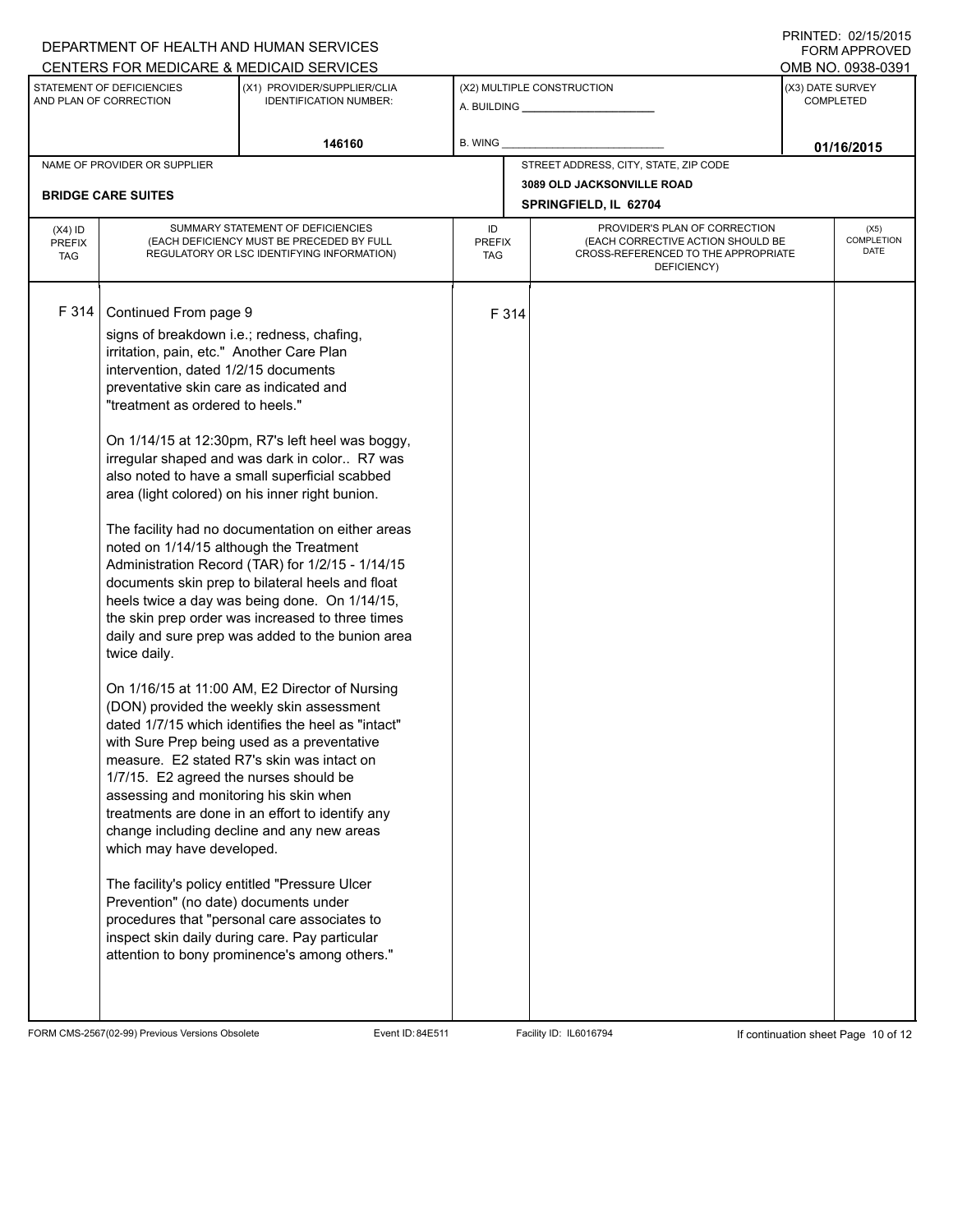|                                   |                                                                                                                                                                                                                                                                                                                                                                                                                                                              | CENTERS FOR MEDICARE & MEDICAID SERVICES                                                                                                                                                                                                                                                                                                                                                                                                                                                                                                                                                                                                                                                                                                                                                                                                                                                                                                                                                                                                                                              |                            |       |                                                                                                                          |            | OMB NO. 0938-0391                    |  |
|-----------------------------------|--------------------------------------------------------------------------------------------------------------------------------------------------------------------------------------------------------------------------------------------------------------------------------------------------------------------------------------------------------------------------------------------------------------------------------------------------------------|---------------------------------------------------------------------------------------------------------------------------------------------------------------------------------------------------------------------------------------------------------------------------------------------------------------------------------------------------------------------------------------------------------------------------------------------------------------------------------------------------------------------------------------------------------------------------------------------------------------------------------------------------------------------------------------------------------------------------------------------------------------------------------------------------------------------------------------------------------------------------------------------------------------------------------------------------------------------------------------------------------------------------------------------------------------------------------------|----------------------------|-------|--------------------------------------------------------------------------------------------------------------------------|------------|--------------------------------------|--|
|                                   | STATEMENT OF DEFICIENCIES<br>AND PLAN OF CORRECTION                                                                                                                                                                                                                                                                                                                                                                                                          | (X1) PROVIDER/SUPPLIER/CLIA<br><b>IDENTIFICATION NUMBER:</b>                                                                                                                                                                                                                                                                                                                                                                                                                                                                                                                                                                                                                                                                                                                                                                                                                                                                                                                                                                                                                          | (X2) MULTIPLE CONSTRUCTION |       |                                                                                                                          |            | (X3) DATE SURVEY<br><b>COMPLETED</b> |  |
|                                   |                                                                                                                                                                                                                                                                                                                                                                                                                                                              | 146160                                                                                                                                                                                                                                                                                                                                                                                                                                                                                                                                                                                                                                                                                                                                                                                                                                                                                                                                                                                                                                                                                | <b>B. WING</b>             |       |                                                                                                                          |            |                                      |  |
|                                   | NAME OF PROVIDER OR SUPPLIER                                                                                                                                                                                                                                                                                                                                                                                                                                 |                                                                                                                                                                                                                                                                                                                                                                                                                                                                                                                                                                                                                                                                                                                                                                                                                                                                                                                                                                                                                                                                                       |                            |       | STREET ADDRESS, CITY, STATE, ZIP CODE                                                                                    | 01/16/2015 |                                      |  |
|                                   | <b>BRIDGE CARE SUITES</b>                                                                                                                                                                                                                                                                                                                                                                                                                                    |                                                                                                                                                                                                                                                                                                                                                                                                                                                                                                                                                                                                                                                                                                                                                                                                                                                                                                                                                                                                                                                                                       |                            |       | 3089 OLD JACKSONVILLE ROAD<br>SPRINGFIELD, IL 62704                                                                      |            |                                      |  |
| $(X4)$ ID<br><b>PREFIX</b><br>TAG |                                                                                                                                                                                                                                                                                                                                                                                                                                                              | SUMMARY STATEMENT OF DEFICIENCIES<br>(EACH DEFICIENCY MUST BE PRECEDED BY FULL<br>REGULATORY OR LSC IDENTIFYING INFORMATION)                                                                                                                                                                                                                                                                                                                                                                                                                                                                                                                                                                                                                                                                                                                                                                                                                                                                                                                                                          | ID<br><b>PREFIX</b><br>TAG |       | PROVIDER'S PLAN OF CORRECTION<br>(EACH CORRECTIVE ACTION SHOULD BE<br>CROSS-REFERENCED TO THE APPROPRIATE<br>DEFICIENCY) |            | (X5)<br><b>COMPLETION</b><br>DATE    |  |
| F 314                             | Continued From page 9<br>signs of breakdown i.e.; redness, chafing,<br>irritation, pain, etc." Another Care Plan<br>intervention, dated 1/2/15 documents<br>preventative skin care as indicated and<br>"treatment as ordered to heels."<br>noted on 1/14/15 although the Treatment<br>twice daily.<br>1/7/15. E2 agreed the nurses should be<br>assessing and monitoring his skin when<br>which may have developed.<br>Prevention" (no date) documents under | On 1/14/15 at 12:30pm, R7's left heel was boggy,<br>irregular shaped and was dark in color R7 was<br>also noted to have a small superficial scabbed<br>area (light colored) on his inner right bunion.<br>The facility had no documentation on either areas<br>Administration Record (TAR) for 1/2/15 - 1/14/15<br>documents skin prep to bilateral heels and float<br>heels twice a day was being done. On 1/14/15,<br>the skin prep order was increased to three times<br>daily and sure prep was added to the bunion area<br>On 1/16/15 at 11:00 AM, E2 Director of Nursing<br>(DON) provided the weekly skin assessment<br>dated 1/7/15 which identifies the heel as "intact"<br>with Sure Prep being used as a preventative<br>measure. E2 stated R7's skin was intact on<br>treatments are done in an effort to identify any<br>change including decline and any new areas<br>The facility's policy entitled "Pressure Ulcer<br>procedures that "personal care associates to<br>inspect skin daily during care. Pay particular<br>attention to bony prominence's among others." |                            | F 314 |                                                                                                                          |            |                                      |  |

DEPARTMENT OF HEALTH AND HUMAN SERVICES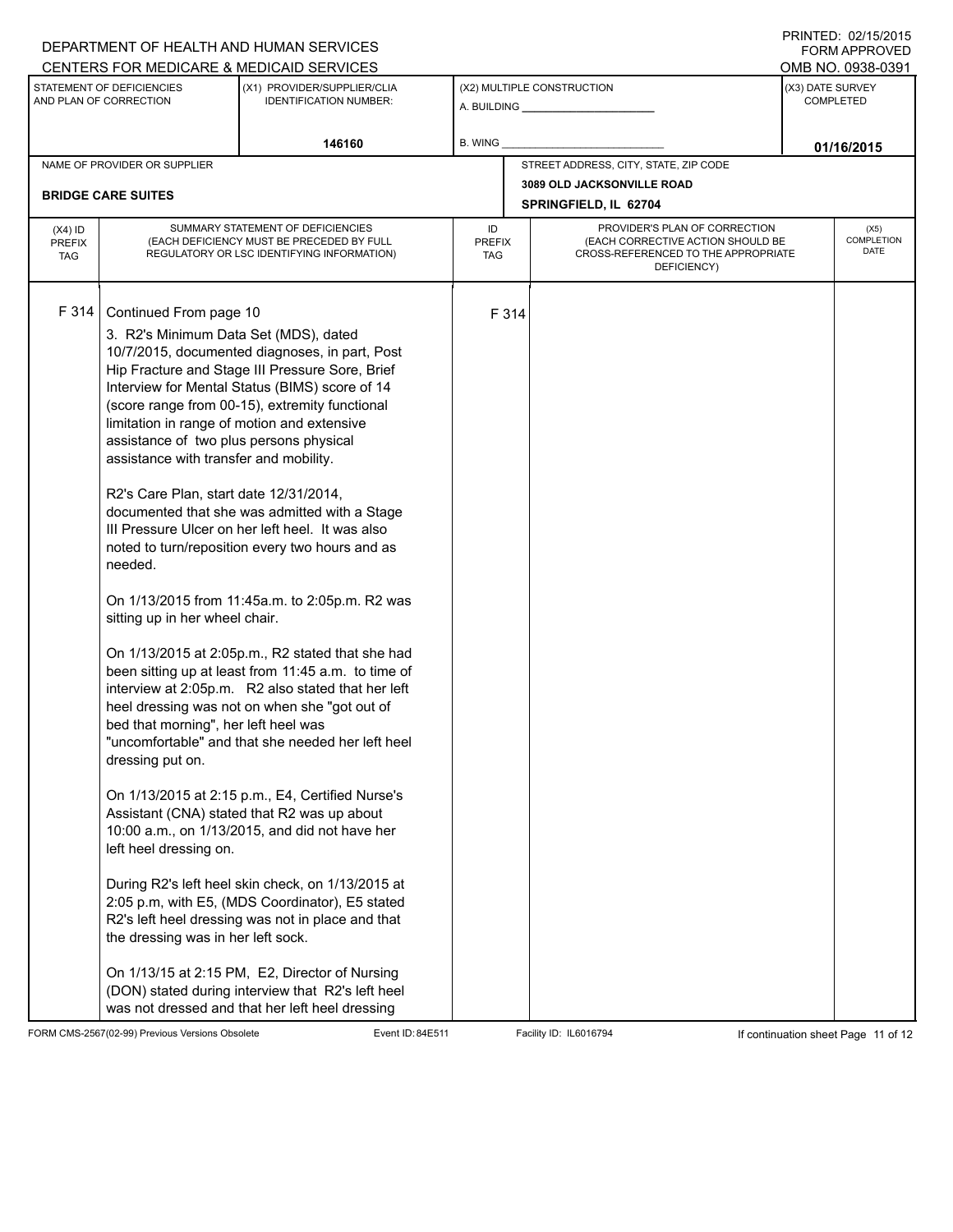|                                          |                                                                                                                                                                                                                                                                                                                                                                                                                        | DEPARTMENT OF HEALTH AND HUMAN SERVICES                                                                                                                                                                                                                                                                                                                                                                                                                                                                                                                                                                                                                                                                                                                                                                                                                                                                                                                                                                                                                                                                         |                            |                            |                                                                                                                          |                                   | I INITILLY. VZIIVIZVIJ<br><b>FORM APPROVED</b> |  |  |
|------------------------------------------|------------------------------------------------------------------------------------------------------------------------------------------------------------------------------------------------------------------------------------------------------------------------------------------------------------------------------------------------------------------------------------------------------------------------|-----------------------------------------------------------------------------------------------------------------------------------------------------------------------------------------------------------------------------------------------------------------------------------------------------------------------------------------------------------------------------------------------------------------------------------------------------------------------------------------------------------------------------------------------------------------------------------------------------------------------------------------------------------------------------------------------------------------------------------------------------------------------------------------------------------------------------------------------------------------------------------------------------------------------------------------------------------------------------------------------------------------------------------------------------------------------------------------------------------------|----------------------------|----------------------------|--------------------------------------------------------------------------------------------------------------------------|-----------------------------------|------------------------------------------------|--|--|
|                                          |                                                                                                                                                                                                                                                                                                                                                                                                                        | CENTERS FOR MEDICARE & MEDICAID SERVICES                                                                                                                                                                                                                                                                                                                                                                                                                                                                                                                                                                                                                                                                                                                                                                                                                                                                                                                                                                                                                                                                        |                            |                            |                                                                                                                          |                                   | OMB NO. 0938-0391                              |  |  |
|                                          | STATEMENT OF DEFICIENCIES<br>AND PLAN OF CORRECTION                                                                                                                                                                                                                                                                                                                                                                    | (X1) PROVIDER/SUPPLIER/CLIA<br><b>IDENTIFICATION NUMBER:</b>                                                                                                                                                                                                                                                                                                                                                                                                                                                                                                                                                                                                                                                                                                                                                                                                                                                                                                                                                                                                                                                    |                            | (X2) MULTIPLE CONSTRUCTION |                                                                                                                          |                                   | (X3) DATE SURVEY<br><b>COMPLETED</b>           |  |  |
|                                          |                                                                                                                                                                                                                                                                                                                                                                                                                        | 146160                                                                                                                                                                                                                                                                                                                                                                                                                                                                                                                                                                                                                                                                                                                                                                                                                                                                                                                                                                                                                                                                                                          | B. WING                    |                            |                                                                                                                          | 01/16/2015                        |                                                |  |  |
|                                          | NAME OF PROVIDER OR SUPPLIER                                                                                                                                                                                                                                                                                                                                                                                           |                                                                                                                                                                                                                                                                                                                                                                                                                                                                                                                                                                                                                                                                                                                                                                                                                                                                                                                                                                                                                                                                                                                 |                            |                            | STREET ADDRESS, CITY, STATE, ZIP CODE                                                                                    |                                   |                                                |  |  |
|                                          | <b>BRIDGE CARE SUITES</b>                                                                                                                                                                                                                                                                                                                                                                                              |                                                                                                                                                                                                                                                                                                                                                                                                                                                                                                                                                                                                                                                                                                                                                                                                                                                                                                                                                                                                                                                                                                                 |                            |                            | 3089 OLD JACKSONVILLE ROAD<br>SPRINGFIELD, IL 62704                                                                      |                                   |                                                |  |  |
| $(X4)$ ID<br><b>PREFIX</b><br><b>TAG</b> |                                                                                                                                                                                                                                                                                                                                                                                                                        | SUMMARY STATEMENT OF DEFICIENCIES<br>(EACH DEFICIENCY MUST BE PRECEDED BY FULL<br>REGULATORY OR LSC IDENTIFYING INFORMATION)                                                                                                                                                                                                                                                                                                                                                                                                                                                                                                                                                                                                                                                                                                                                                                                                                                                                                                                                                                                    | ID<br><b>PREFIX</b><br>TAG |                            | PROVIDER'S PLAN OF CORRECTION<br>(EACH CORRECTIVE ACTION SHOULD BE<br>CROSS-REFERENCED TO THE APPROPRIATE<br>DEFICIENCY) | (X5)<br><b>COMPLETION</b><br>DATE |                                                |  |  |
| F 314                                    | Continued From page 10<br>3. R2's Minimum Data Set (MDS), dated<br>limitation in range of motion and extensive<br>assistance of two plus persons physical<br>assistance with transfer and mobility.<br>R2's Care Plan, start date 12/31/2014,<br>needed.<br>sitting up in her wheel chair.<br>bed that morning", her left heel was<br>dressing put on.<br>left heel dressing on.<br>the dressing was in her left sock. | 10/7/2015, documented diagnoses, in part, Post<br>Hip Fracture and Stage III Pressure Sore, Brief<br>Interview for Mental Status (BIMS) score of 14<br>(score range from 00-15), extremity functional<br>documented that she was admitted with a Stage<br>III Pressure Ulcer on her left heel. It was also<br>noted to turn/reposition every two hours and as<br>On 1/13/2015 from 11:45a.m. to 2:05p.m. R2 was<br>On 1/13/2015 at 2:05p.m., R2 stated that she had<br>been sitting up at least from 11:45 a.m. to time of<br>interview at 2:05p.m. R2 also stated that her left<br>heel dressing was not on when she "got out of<br>"uncomfortable" and that she needed her left heel<br>On 1/13/2015 at 2:15 p.m., E4, Certified Nurse's<br>Assistant (CNA) stated that R2 was up about<br>10:00 a.m., on 1/13/2015, and did not have her<br>During R2's left heel skin check, on 1/13/2015 at<br>2:05 p.m, with E5, (MDS Coordinator), E5 stated<br>R2's left heel dressing was not in place and that<br>On 1/13/15 at 2:15 PM, E2, Director of Nursing<br>(DON) stated during interview that R2's left heel | F 314                      |                            |                                                                                                                          |                                   |                                                |  |  |
|                                          |                                                                                                                                                                                                                                                                                                                                                                                                                        | was not dressed and that her left heel dressing                                                                                                                                                                                                                                                                                                                                                                                                                                                                                                                                                                                                                                                                                                                                                                                                                                                                                                                                                                                                                                                                 |                            |                            |                                                                                                                          |                                   |                                                |  |  |

FORM CMS-2567(02-99) Previous Versions Obsolete Event ID: 84E511 Facility ID: IL6016794 If continuation sheet Page 11 of 12